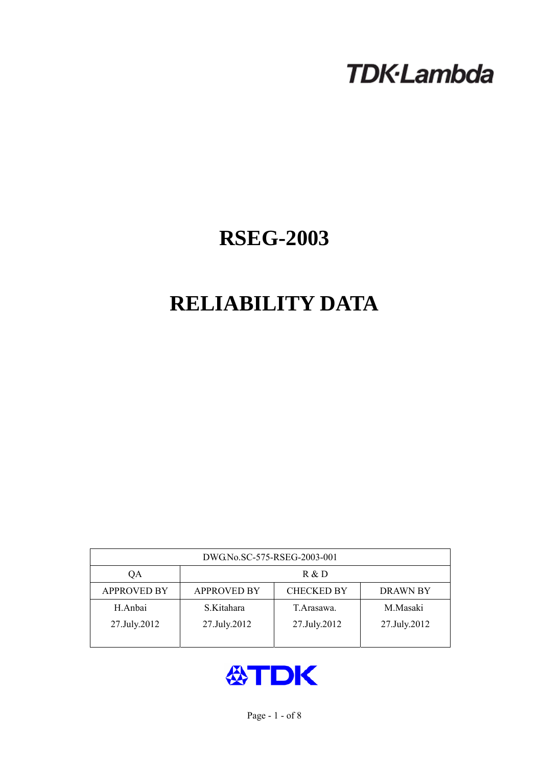# **TDK-Lambda**

## **RSEG-2003**

## **RELIABILITY DATA**

| DWG.No.SC-575-RSEG-2003-001 |                                                            |              |              |  |  |  |
|-----------------------------|------------------------------------------------------------|--------------|--------------|--|--|--|
| QA                          | R & D                                                      |              |              |  |  |  |
| <b>APPROVED BY</b>          | <b>APPROVED BY</b><br><b>CHECKED BY</b><br><b>DRAWN BY</b> |              |              |  |  |  |
| H.Anbai                     | S.Kitahara                                                 | T. Arasawa.  | M.Masaki     |  |  |  |
| 27.July.2012                | 27.July.2012                                               | 27.July.2012 | 27.July.2012 |  |  |  |
|                             |                                                            |              |              |  |  |  |

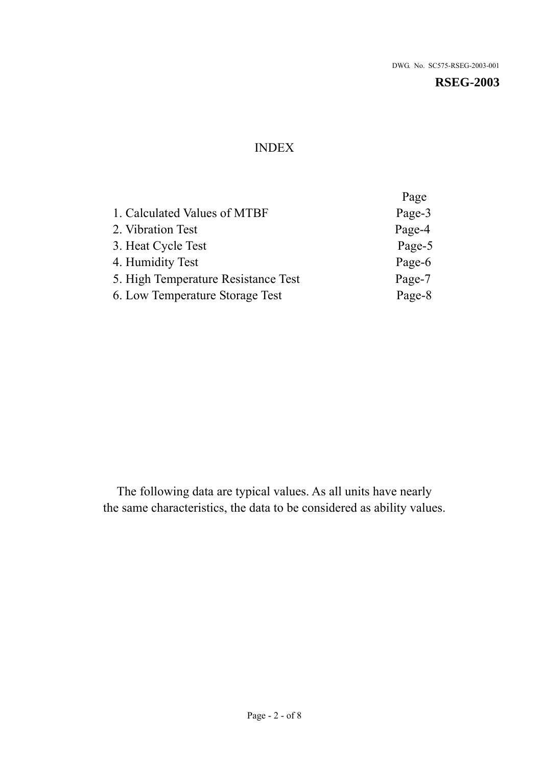## INDEX

|                                     | Page   |
|-------------------------------------|--------|
| 1. Calculated Values of MTBF        | Page-3 |
| 2. Vibration Test                   | Page-4 |
| 3. Heat Cycle Test                  | Page-5 |
| 4. Humidity Test                    | Page-6 |
| 5. High Temperature Resistance Test | Page-7 |
| 6. Low Temperature Storage Test     | Page-8 |

The following data are typical values. As all units have nearly the same characteristics, the data to be considered as ability values.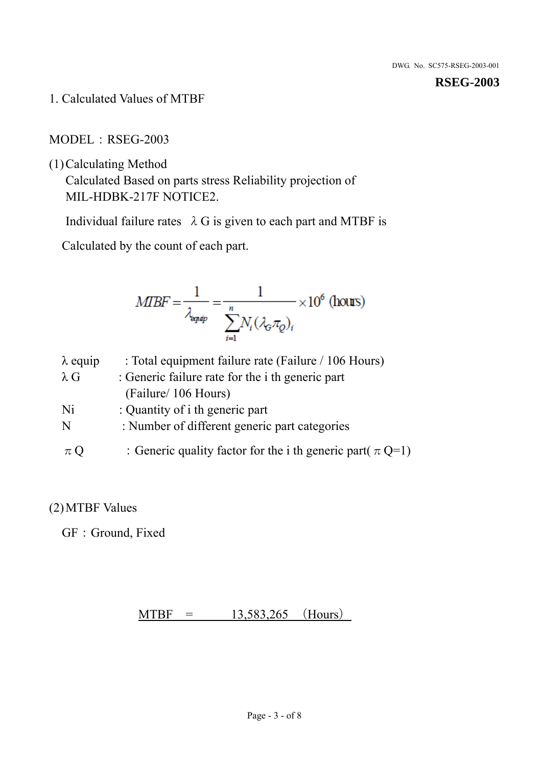1. Calculated Values of MTBF

MODEL:RSEG-2003

(1)Calculating Method

Calculated Based on parts stress Reliability projection of MIL-HDBK-217F NOTICE2.

Individual failure rates  $\lambda$  G is given to each part and MTBF is

Calculated by the count of each part.

$$
MIBF = \frac{1}{\lambda_{\text{expap}}} = \frac{1}{\sum_{i=1}^{n} N_i (\lambda_{\text{G}} \pi_Q)_i} \times 10^6 \text{ (hours)}
$$

| $\lambda$ equip | : Total equipment failure rate (Failure / 106 Hours)            |
|-----------------|-----------------------------------------------------------------|
| $\lambda$ G     | : Generic failure rate for the <i>i</i> th generic part         |
|                 | (Failure/ 106 Hours)                                            |
| Ni              | : Quantity of i th generic part                                 |
| N               | : Number of different generic part categories                   |
| $\pi Q$         | : Generic quality factor for the i th generic part( $\pi Q=1$ ) |

### (2)MTBF Values

GF: Ground, Fixed

 $MTBF = 13,583,265$  (Hours)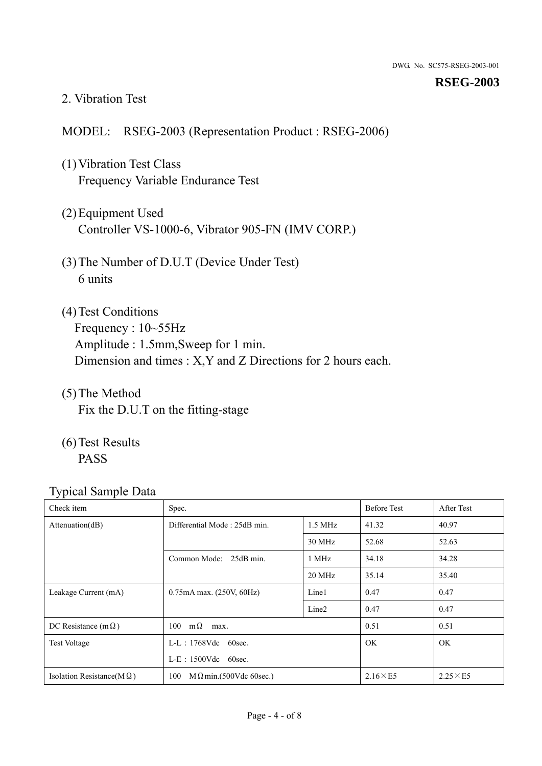#### 2. Vibration Test

#### MODEL: RSEG-2003 (Representation Product : RSEG-2006)

- (1)Vibration Test Class Frequency Variable Endurance Test
- (2)Equipment Used Controller VS-1000-6, Vibrator 905-FN (IMV CORP.)
- (3)The Number of D.U.T (Device Under Test) 6 units
- (4) Test Conditions Frequency : 10~55Hz Amplitude : 1.5mm,Sweep for 1 min. Dimension and times : X,Y and Z Directions for 2 hours each.
- (5)The Method Fix the D.U.T on the fitting-stage
- (6)Test Results PASS

| Check item                        | Spec.                                 |                   | <b>Before Test</b> | After Test      |
|-----------------------------------|---------------------------------------|-------------------|--------------------|-----------------|
| Attenuation(dB)                   | Differential Mode: 25dB min.          | $1.5$ MHz         | 41.32              | 40.97           |
|                                   |                                       | 30 MHz            | 52.68              | 52.63           |
|                                   | Common Mode: 25dB min.                | 1 MHz             | 34.18              | 34.28           |
|                                   |                                       | 20 MHz            | 35.14              | 35.40           |
| Leakage Current (mA)              | $0.75mA$ max. $(250V, 60Hz)$          | Line1             | 0.47               | 0.47            |
|                                   |                                       | Line <sub>2</sub> | 0.47               | 0.47            |
| DC Resistance (m $\Omega$ )       | $100 \text{ m}\Omega$<br>max.         |                   | 0.51               | 0.51            |
| <b>Test Voltage</b>               | $L-L$ : 1768Vdc 60sec.                |                   | <b>OK</b>          | <b>OK</b>       |
|                                   | $L-E$ : 1500Vdc 60sec.                |                   |                    |                 |
| Isolation Resistance(M $\Omega$ ) | 100<br>$M \Omega$ min.(500Vdc 60sec.) |                   | $2.16\times E5$    | $2.25\times E5$ |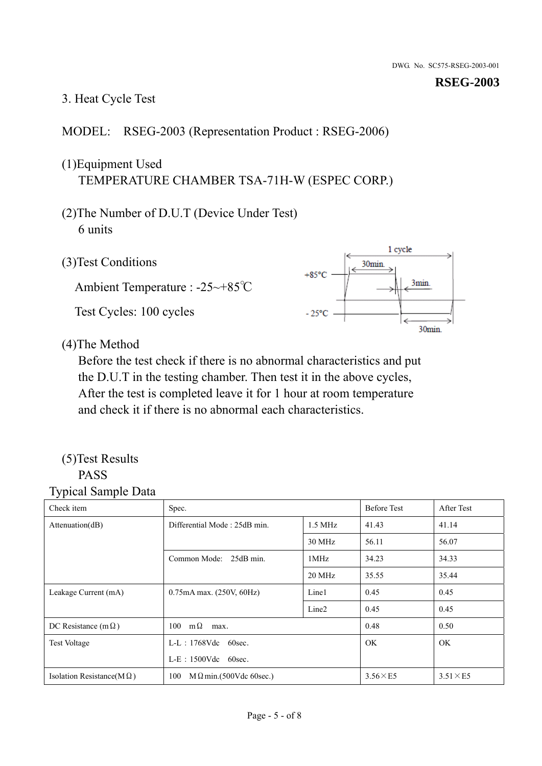#### 3. Heat Cycle Test

#### MODEL: RSEG-2003 (Representation Product : RSEG-2006)

## (1)Equipment Used TEMPERATURE CHAMBER TSA-71H-W (ESPEC CORP.)

- (2)The Number of D.U.T (Device Under Test) 6 units
- 1 cycle (3)Test Conditions 30<sub>min</sub>  $+85^{\circ}$ C 3min. Ambient Temperature : -25~+85℃ Test Cycles: 100 cycles  $-25^{\circ}$ C 30min.

(4)The Method

Before the test check if there is no abnormal characteristics and put the D.U.T in the testing chamber. Then test it in the above cycles, After the test is completed leave it for 1 hour at room temperature and check it if there is no abnormal each characteristics.

#### (5)Test Results PASS

| ┙┸<br>$\mathbf{I}$<br>Check item  | Spec.                                |                   | <b>Before Test</b> | After Test      |
|-----------------------------------|--------------------------------------|-------------------|--------------------|-----------------|
| Attention(dB)                     | Differential Mode: 25dB min.         |                   | 41.43              | 41.14           |
|                                   |                                      | 30 MHz            | 56.11              | 56.07           |
|                                   | Common Mode: 25dB min.               | 1MHz              | 34.23              | 34.33           |
|                                   |                                      | 20 MHz            | 35.55              | 35.44           |
| Leakage Current (mA)              | $0.75mA$ max. $(250V, 60Hz)$         | Line1             | 0.45               | 0.45            |
|                                   |                                      | Line <sub>2</sub> | 0.45               | 0.45            |
| DC Resistance (m $\Omega$ )       | $100 \quad m\Omega$<br>max.          |                   | 0.48               | 0.50            |
| <b>Test Voltage</b>               | $L-L$ : 1768Vdc 60sec.               |                   | OK.                | OK.             |
|                                   | $L-E$ : 1500Vdc 60sec.               |                   |                    |                 |
| Isolation Resistance(M $\Omega$ ) | 100<br>$M\Omega$ min.(500Vdc 60sec.) |                   | $3.56\times E5$    | $3.51\times E5$ |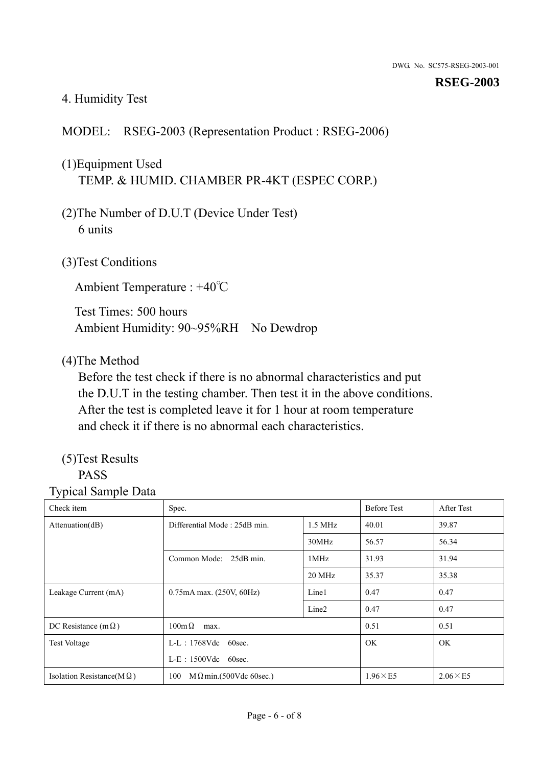#### 4. Humidity Test

#### MODEL: RSEG-2003 (Representation Product : RSEG-2006)

## (1)Equipment Used TEMP. & HUMID. CHAMBER PR-4KT (ESPEC CORP.)

- (2)The Number of D.U.T (Device Under Test) 6 units
- (3)Test Conditions

Ambient Temperature : +40℃

Test Times: 500 hours Ambient Humidity: 90~95%RH No Dewdrop

#### (4)The Method

Before the test check if there is no abnormal characteristics and put the D.U.T in the testing chamber. Then test it in the above conditions. After the test is completed leave it for 1 hour at room temperature and check it if there is no abnormal each characteristics.

## (5)Test Results

### PASS

| Check item                        | Spec.                                     |                   | <b>Before Test</b> | After Test      |
|-----------------------------------|-------------------------------------------|-------------------|--------------------|-----------------|
| Attenuation(dB)                   | Differential Mode: 25dB min.<br>$1.5$ MHz |                   | 40.01              | 39.87           |
|                                   |                                           | 30MHz             | 56.57              | 56.34           |
|                                   | Common Mode: 25dB min.                    | 1MHz              | 31.93              | 31.94           |
|                                   |                                           | 20 MHz            | 35.37              | 35.38           |
| Leakage Current (mA)              | 0.75mA max. (250V, 60Hz)                  | Line1             | 0.47               | 0.47            |
|                                   |                                           | Line <sub>2</sub> | 0.47               | 0.47            |
| DC Resistance (m $\Omega$ )       | $100 \text{m}\,\Omega$<br>max.            |                   | 0.51               | 0.51            |
| <b>Test Voltage</b>               | $L-L$ : 1768Vdc 60sec.                    |                   | OK.                | OK.             |
|                                   | $L-E$ : 1500Vdc 60sec.                    |                   |                    |                 |
| Isolation Resistance(M $\Omega$ ) | $M \Omega$ min.(500Vdc 60sec.)<br>100     |                   | $1.96\times E5$    | $2.06\times E5$ |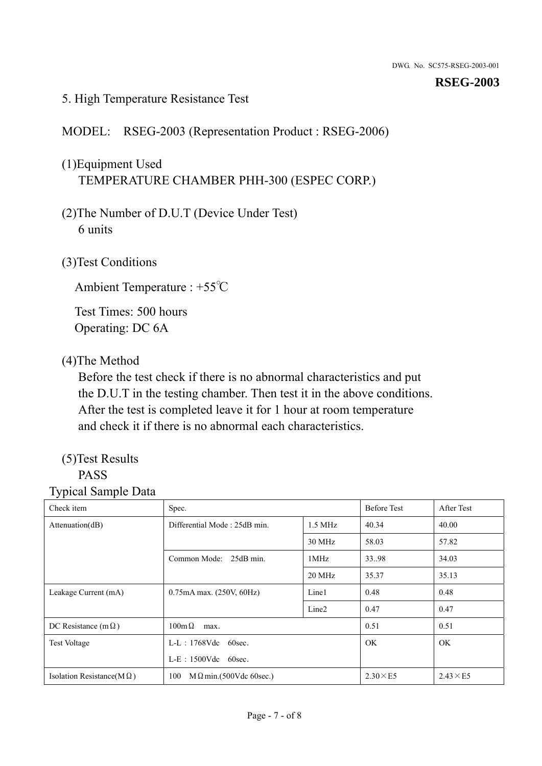#### 5. High Temperature Resistance Test

MODEL: RSEG-2003 (Representation Product : RSEG-2006)

## (1)Equipment Used TEMPERATURE CHAMBER PHH-300 (ESPEC CORP.)

- (2)The Number of D.U.T (Device Under Test) 6 units
- (3)Test Conditions

Ambient Temperature : +55℃

Test Times: 500 hours Operating: DC 6A

#### (4)The Method

Before the test check if there is no abnormal characteristics and put the D.U.T in the testing chamber. Then test it in the above conditions. After the test is completed leave it for 1 hour at room temperature and check it if there is no abnormal each characteristics.

## (5)Test Results

## PASS

| Check item                        | Spec.                                     |                   | <b>Before Test</b> | After Test      |
|-----------------------------------|-------------------------------------------|-------------------|--------------------|-----------------|
| Attenuation(dB)                   | Differential Mode: 25dB min.<br>$1.5$ MHz |                   | 40.34              | 40.00           |
|                                   |                                           | 30 MHz            | 58.03              | 57.82           |
|                                   | Common Mode: 25dB min.                    | 1MHz              | 33.98              | 34.03           |
|                                   |                                           | 20 MHz            | 35.37              | 35.13           |
| Leakage Current (mA)              | 0.75mA max. (250V, 60Hz)                  | Line1             | 0.48               | 0.48            |
|                                   |                                           | Line <sub>2</sub> | 0.47               | 0.47            |
| DC Resistance (m $\Omega$ )       | $100 \text{m}\,\Omega$<br>max.            |                   | 0.51               | 0.51            |
| <b>Test Voltage</b>               | $L-L$ : 1768Vdc 60sec.                    |                   | OK.                | OK.             |
|                                   | $L-E$ : 1500Vdc 60sec.                    |                   |                    |                 |
| Isolation Resistance(M $\Omega$ ) | $M \Omega$ min.(500Vdc 60sec.)<br>100     |                   | $2.30\times E5$    | $2.43\times E5$ |